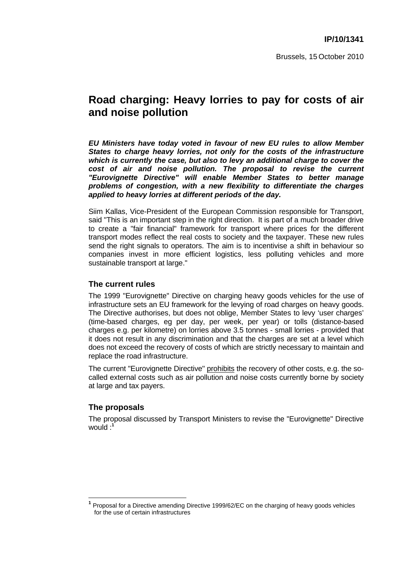# **Road charging: Heavy lorries to pay for costs of air and noise pollution**

*EU Ministers have today voted in favour of new EU rules to allow Member States to charge heavy lorries, not only for the costs of the infrastructure which is currently the case, but also to levy an additional charge to cover the cost of air and noise pollution. The proposal to revise the current "Eurovignette Directive" will enable Member States to better manage problems of congestion, with a new flexibility to differentiate the charges applied to heavy lorries at different periods of the day.* 

Siim Kallas, Vice-President of the European Commission responsible for Transport, said "This is an important step in the right direction. It is part of a much broader drive to create a "fair financial" framework for transport where prices for the different transport modes reflect the real costs to society and the taxpayer. These new rules send the right signals to operators. The aim is to incentivise a shift in behaviour so companies invest in more efficient logistics, less polluting vehicles and more sustainable transport at large."

### **The current rules**

The 1999 "Eurovignette" Directive on charging heavy goods vehicles for the use of infrastructure sets an EU framework for the levying of road charges on heavy goods. The Directive authorises, but does not oblige, Member States to levy 'user charges' (time-based charges, eg per day, per week, per year) or tolls (distance-based charges e.g. per kilometre) on lorries above 3.5 tonnes - small lorries - provided that it does not result in any discrimination and that the charges are set at a level which does not exceed the recovery of costs of which are strictly necessary to maintain and replace the road infrastructure.

The current "Eurovignette Directive" prohibits the recovery of other costs, e.g. the socalled external costs such as air pollution and noise costs currently borne by society at large and tax payers.

## **The proposals**

The proposal discussed by Transport Ministers to revise the "Eurovignette" Directive would :**<sup>1</sup>**

**<sup>1</sup>** Proposal for a Directive amending Directive 1999/62/EC on the charging of heavy goods vehicles for the use of certain infrastructures